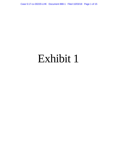Case 5:17-cv-00220-LHK Document 888-1 Filed 10/03/18 Page 1 of 15

# Exhibit 1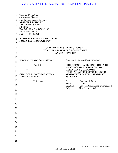|                               | Case 5:17-cv-00220-LHK  Document 888-1  Filed 10/03/18  Page 2 of 15                                                                                                                                                       |                            |                                                                          |
|-------------------------------|----------------------------------------------------------------------------------------------------------------------------------------------------------------------------------------------------------------------------|----------------------------|--------------------------------------------------------------------------|
| $\overline{2}$<br>3<br>4<br>5 | Ryan W. Koppelman<br>CA Bar No. 290704<br>ryan.koppelman@alston.com<br><b>ALSTON &amp; BIRD LLP</b><br>1950 University Avenue<br>5th Floor<br>East Palo Alto, CA 94303-2282<br>Phone: 650.838.2000<br>650.838.2001<br>Fax: |                            |                                                                          |
| 6<br>$\overline{7}$           | <b>ATTORNEY FOR AMICUS CURIAE</b><br><b>NOKIA TECHNOLOGIES OY</b>                                                                                                                                                          |                            |                                                                          |
| 8<br>9                        | UNITED STATES DISTRICT COURT<br><b>NORTHERN DISTRICT OF CALIFORNIA</b>                                                                                                                                                     | <b>SAN JOSE DIVISION</b>   |                                                                          |
| 10                            | FEDERAL TRADE COMMISSION,                                                                                                                                                                                                  |                            | Case No. 5:17-cv-00220-LHK-NMC                                           |
| 11                            | Plaintiff,                                                                                                                                                                                                                 |                            | <b>BRIEF OF NOKIA TECHNOLOGIES OY</b>                                    |
| 12                            | V.                                                                                                                                                                                                                         |                            | <b>AMICUS CURIAE IN SUPPORT OF</b><br>DEFENDANT QUALCOMM                 |
| 13<br>14                      | QUALCOMM INCORPORATED, a<br>Delaware corporation,                                                                                                                                                                          | <b>JUDGMENT</b>            | <b>INCORPORATED'S OPPOSITION TO</b><br><b>MOTION FOR PARTIAL SUMMARY</b> |
| 15                            | Defendant.                                                                                                                                                                                                                 | Date:<br>Time:             | October 18, 2018<br>1:30 PM                                              |
| 16<br>17                      |                                                                                                                                                                                                                            | Location:<br>Judge:        | San Jose Courthouse, Courtroom 8<br>Hon. Lucy H. Koh                     |
| 18                            |                                                                                                                                                                                                                            |                            |                                                                          |
| 19                            |                                                                                                                                                                                                                            |                            |                                                                          |
| 20                            |                                                                                                                                                                                                                            |                            |                                                                          |
| 21                            |                                                                                                                                                                                                                            |                            |                                                                          |
| 22                            |                                                                                                                                                                                                                            |                            |                                                                          |
| 23                            |                                                                                                                                                                                                                            |                            |                                                                          |
| 24                            |                                                                                                                                                                                                                            |                            |                                                                          |
| 25                            |                                                                                                                                                                                                                            |                            |                                                                          |
| 26                            |                                                                                                                                                                                                                            |                            |                                                                          |
| 27                            |                                                                                                                                                                                                                            |                            |                                                                          |
| 28                            |                                                                                                                                                                                                                            |                            |                                                                          |
|                               |                                                                                                                                                                                                                            | <b>AMICUS CURIAE BRIEF</b> | Case No. 5:17-cv-00220-LHK-NMC                                           |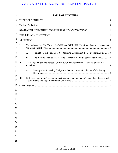| $\mathbf{1}$                                 |      |                | <b>TABLE OF CONTENTS</b>                                                            |
|----------------------------------------------|------|----------------|-------------------------------------------------------------------------------------|
| $\overline{2}$                               |      |                |                                                                                     |
| 3                                            |      |                |                                                                                     |
| $\overline{4}$                               |      |                |                                                                                     |
| 5                                            |      |                |                                                                                     |
| 6                                            |      |                |                                                                                     |
| 7<br>8                                       | I.   |                | The Industry Has Not Viewed the 3GPP and 3GPP2 IPR Policies to Require Licensing at |
| 9                                            |      | A <sub>1</sub> | The ETSI IPR Policy Does Not Mandate Licensing at the Component Level.  3           |
| 10                                           |      | <b>B.</b>      | The Industry Practice Has Been to License at the End User Product Level.  5         |
| 11<br>12                                     | II.  |                | Licensing Obligations Across 3GPP and 3GPP2 Organizational Partners Should Be       |
| 13                                           |      | $A_{\cdot}$    | Incompatible Licensing Obligations Would Create a Patchwork of Confusing            |
| 14<br>15                                     | III. |                | SEP Licensing in the Telecommunications Industry Has Led to Tremendous Success with |
| 16                                           |      |                |                                                                                     |
| 17                                           |      |                |                                                                                     |
| 18                                           |      |                |                                                                                     |
| 19                                           |      |                |                                                                                     |
| 20                                           |      |                |                                                                                     |
|                                              |      |                |                                                                                     |
|                                              |      |                |                                                                                     |
|                                              |      |                |                                                                                     |
|                                              |      |                |                                                                                     |
|                                              |      |                |                                                                                     |
|                                              |      |                |                                                                                     |
|                                              |      |                |                                                                                     |
| 21<br>22<br>23<br>24<br>25<br>26<br>27<br>28 |      |                |                                                                                     |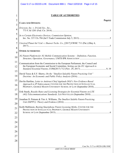|        | <b>TABLE OF AUTHORITIES</b>                                                                                                                                                                                               |         |
|--------|---------------------------------------------------------------------------------------------------------------------------------------------------------------------------------------------------------------------------|---------|
| 2<br>3 | <b>CASES AND OPINIONS</b>                                                                                                                                                                                                 | Page(s) |
|        | Ericsson, Inc. v. D-Link Sys., Inc.,                                                                                                                                                                                      |         |
|        | In re Certain Electronics Devices, Commission Opinion,                                                                                                                                                                    |         |
|        | Unwired Planet Int'l Ltd. v. Huawei Techs. Co., [2017] EWHC 711 (Pat.) (May 4,                                                                                                                                            |         |
|        | <b>OTHER AUTHORITIES</b>                                                                                                                                                                                                  |         |
|        | 3G Patent Platform for 3G Mobile Communication Systems - Definition, Function,                                                                                                                                            |         |
|        | Communication from the Commission to the European Parliament, the Council and<br>the European Economic and Social Committee, Setting out the EU Approach to                                                               |         |
|        | David Teece & E.F. Sherry, On the "Smallest Saleable Patent Practicing Unit"                                                                                                                                              |         |
|        | Devlin Hartline, Letter to Antitrust Chief Applauds DOJ's New Evidence-Based<br>Approach to IP Enforcement, CENTER FOR THE PROTECTION OF INTELLECTUAL<br>PROPERTY, GEORGE MASON UNIVERSITY SCHOOL OF LAW (September 2010) | .6      |
|        | Erik Stasik, Royalty Rates and Licensing Strategies for Essential Patents on LTE                                                                                                                                          |         |
|        | Jonathan D. Putnam & Tim A. Williams, The Smallest Salable Patent-Practicing                                                                                                                                              |         |
|        | Keith Mallinson, Busting Smartphone Patent Licensing Myths, CENTER FOR THE<br>PROTECTION OF INTELLECTUAL PROPERTY, GEORGE MASON UNIVERSITY                                                                                |         |
|        |                                                                                                                                                                                                                           |         |
|        |                                                                                                                                                                                                                           |         |
|        |                                                                                                                                                                                                                           |         |
|        |                                                                                                                                                                                                                           |         |
|        |                                                                                                                                                                                                                           |         |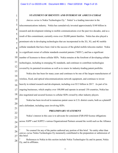#### **STATEMENT OF IDENTITY AND INTEREST OF AMICUS CURIAE**

2 3 4 5 6 7 8 9 10 11 12 13 14 15 16 17 18 19 20 21 22 23 24 25 26 27 28 Amicus curiae is Nokia Technologies Oy.<sup>1</sup> Nokia<sup>2</sup> is a leading innovator in the telecommunications industry. Nokia has cumulatively invested approximately \$140 billion in research and development relating to mobile communications over the past two decades, and as a result of this commitment, currently owns over 20,000 patent families. Nokia has also played a prominent role in developing technologies that are incorporated in the 2G, 3G, and 4G mobile cellular standards that have been vital to the success of the global mobile telecoms market. Nokia is a significant owner of cellular standards essential patents ("SEPs"), and has a significant number of licensees to those cellular SEPs. Nokia remains at the forefront of developing cellular technologies, including in emerging 5G standards, and continues to contribute technologies covered by its patented inventions as well as to renew its industry-leading patent portfolio. Nokia also has been for many years and continues to be one of the largest manufacturers of wireless, fixed, and optical telecommunications network equipment, and continues to invest heavily in related research and development, including over \$5.5 billion in 2017. As part of its ongoing businesses, which employ over 100,000 and operate in around 130 countries, Nokia has also negotiated and secured licenses to cellular SEPs owned by other industry players. Nokia has been involved in numerous patent cases in U.S. district courts, both as a plaintiff and a defendant, including cases involving SEPs. **PRELIMINARY STATEMENT** Nokia's interest in this case is to advocate for consistent (F)RAND license obligations across 3GPP's and 3GPP2's various Organizational Partners around the world such as the Alliance <sup>1</sup> No counsel for any of the parties authored any portion of this brief. No entity other than *amicus curiae* Nokia Technologies Oy monetarily contributed to the preparation or submission of this brief. References to Nokia in this section include Nokia Technologies Oy and its parent, Nokia Oy, and its affiliates.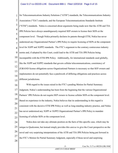1 2 3 4 5 6 7 8 9 10 11 12 13 14 15 16 17 18 19 20 21 22 23 24 25 26 27 for Telecommunications Industry Solutions ("ATIS") standards, the Telecommunications Industry Association ("TIA") standards, and the European Telecommunications Standards Institute ("ETSI") standards. Nokia is concerned about arguments being made now that the ATIS and TIA IPR Policies have always unambiguously required SEP owners to license their SEPs at the component level. Though Nokia primarily declares its patents through ETSI, Nokia has never understood any Organizational Partner's IPR Policy to require licensing of SEPs at the component level for 3GPP and 3GPP2 standards. The FTC's argument to the contrary contravenes industry norms and, if adopted by this Court, could lead to the ATIS and TIA IPR Policies being incompatible with the ETSI IPR Policy. Additionally, for international standards used globally, like the 3GPP and 3GPP2 standards that govern cellular telecommunications, consistency of (F)RAND license obligations across Organizational Partners is necessary so that SEP owners and implementers do not potentially face a patchwork of differing obligations and practices across different jurisdictions. With regard to the issues raised in the FTC's pending Motion for Partial Summary Judgment, Nokia's understanding has been from the beginning that the various Organizational Partners' IPR Policies do not require SEP owners to license cellular SEPs at the component level. Based on experience in the industry, Nokia believes that its understanding in this regard is consistent with the decisive ETSI IPR Policy as well as long-standing industry practice, and Nokia has never understood any 3GPP or 3GPP2 Organizational Partner's IPR Policy to mandate licensing of cellular SEPs at the component level. Nokia does not take any ultimate position on the facts of this specific case, which may be unique to Qualcomm, but instead simply provides this *amicus* to give the Court perspective on the novel and very surprising interpretations of the ATIS and TIA IPR Policies being put forward in the FTC's Motion for Partial Summary Judgment, especially if those novel and surprising

28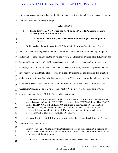1 2 interpretations are somehow later applied in a manner creating unintended consequences for other SEP holders and the industry at large.

|                     | $5.1$ horders and the magnet $\gamma$                                                                                                                               |
|---------------------|---------------------------------------------------------------------------------------------------------------------------------------------------------------------|
| $\overline{3}$      | <b>ARGUMENT</b>                                                                                                                                                     |
| $\overline{4}$      | I.<br>The Industry Has Not Viewed the 3GPP and 3GPP2 IPR Policies to Require                                                                                        |
| 5                   | <b>Licensing at the Component Level.</b>                                                                                                                            |
| 6                   | A. The ETSI IPR Policy Does Not Mandate Licensing at the Component<br>Level.                                                                                        |
| $\overline{7}$<br>8 | Nokia has heavily participated in 3GPP through its European Organizational Partner—                                                                                 |
| 9                   | ETSI. Based on the language of the ETSI IPR Policy, and also the expectations of participants                                                                       |
| 10                  | and sound economic principles, the prevailing view at ETSI from the creation of its IPR Policy has                                                                  |
| 11                  | been that licensing of cellular SEPs would occur at the end user product level, rather than, for                                                                    |
| 12                  | example, at the component level. This view has been expressed by Nokia in response to a Civil                                                                       |
| 13                  | Investigative Demand that Nokia received from the FTC prior to the institution of this litigation                                                                   |
| 14<br>15            | and in sworn testimony from a Nokia employee, Dirk Weiler, who is currently and has served for                                                                      |
| 16                  | a number of years as the Chairman of the ETSI Board and ETSI IPR Special Committee (see                                                                             |
| 17                  | Qualcomm Opp. Ex. 27 at 43:3-45:1). Importantly, Nokia's view is also consistent with the                                                                           |
| 18                  | express language of the ETSI IPR Policy, which states that:                                                                                                         |
| 19                  | To the extent that the IPR(s) disclosed in the attached IPR Information Statement Annex                                                                             |
| 20                  | are or become, and remain ESSENTIAL in respect of the ETSI Work Item, STANDARD<br>and/or TECHNICAL SPECIFICATION identified in the attached IPR Information         |
| 21                  | Statement Annex, the Declarant and/or its AFFILIATES are (1) prepared to grant<br>irrevocable licences under this/these IPR(s) on terms and conditions which are in |
| 22                  | accordance with Clause 6.1 of the ETSI IPR Policy                                                                                                                   |
| 23                  | Clause 6.1 of the ETSI IPR Policy in turn states that ETSI should seek from an IPR owner                                                                            |
| 24                  | that discloses a patent to ETSI:                                                                                                                                    |
| 25                  | an irrevocable undertaking in writing that it is prepared to grant irrevocable licences on                                                                          |
| 26                  | fair, reasonable and non-discriminatory ("FRAND") terms and conditions under such IPR<br>to at least the following extent:                                          |
| 27                  | MANUFACTURE, including the right to make or have made customized                                                                                                    |
| 28                  |                                                                                                                                                                     |
|                     | Case No. 5:17-cv-00220-LHK-NMC<br>$-3-$                                                                                                                             |
|                     | <b>AMICUS CURIAE BRIEF</b>                                                                                                                                          |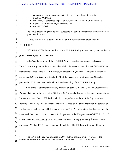|                                                                                                              | Case 5:17-cv-00220-LHK  Document 888-1  Filed 10/03/18  Page 8 of 15                                                                                                                                                                                                                                                                                                                                                                                                                                                                                                                                                                                                                                                                                                                                                                                                                                                                                                                                                                                                                                                                                                                                                            |
|--------------------------------------------------------------------------------------------------------------|---------------------------------------------------------------------------------------------------------------------------------------------------------------------------------------------------------------------------------------------------------------------------------------------------------------------------------------------------------------------------------------------------------------------------------------------------------------------------------------------------------------------------------------------------------------------------------------------------------------------------------------------------------------------------------------------------------------------------------------------------------------------------------------------------------------------------------------------------------------------------------------------------------------------------------------------------------------------------------------------------------------------------------------------------------------------------------------------------------------------------------------------------------------------------------------------------------------------------------|
| 1<br>$\overline{2}$<br>3<br>4<br>5<br>6<br>7<br>8<br>9<br>10<br>11<br>12<br>13<br>14<br>15<br>16<br>17<br>18 | components and sub-systems to the licensee's own design for use in<br>MANUFACTURE;<br>sell, lease, or otherwise dispose of EQUIPMENT so MANUFACTURED;<br>repair, use, or operate EQUIPMENT; and<br>use METHODS.<br>The above undertaking may be made subject to the condition that those who seek licences<br>agree to reciprocate.<br>"MANUFACTURE" is defined in the ETSI IPR Policy to mean production of<br>EQUIPMENT.<br>"EQUIPMENT" is, in turn, defined in the ETSI IPR Policy to mean any system, or device<br><i>fully conforming</i> to a STANDARD.<br>Nokia's understanding of the ETSI IPR Policy is that the commitment to License on<br>FRAND terms is given for the activities identified in Section 6.1 in relation to EQUIPMENT as<br>that term is defined in the ETSI IPR Policy, and that such EQUIPMENT must be a system or<br>device that <i>fully conforms</i> to a Standard. All of the licensing commitments that Nokia has<br>provided to ETSI have been made with this understanding of the ETSI IPR Policy.<br>One of the requirements expressly imposed by both 3GPP and 3GPP2 on Organizational<br>Partners that want to be involved in 3GPP and 3GPP2 standardization is that each Organizational |
| 19                                                                                                           | Partner must have "an IPR Policy which is compatible with those of the Organizational                                                                                                                                                                                                                                                                                                                                                                                                                                                                                                                                                                                                                                                                                                                                                                                                                                                                                                                                                                                                                                                                                                                                           |
| 20<br>21<br>22<br>23<br>24<br>25<br>26                                                                       | Partners." The ATIS IPR Policy states that licenses must be made available "for the purpose of<br>implementing the [relevant ATIS] standard" and the TIA IPR Policy states that licenses must be<br>made available "to the extent necessary for the practice of the TIA publication" (FTC Ex. 2 at 10<br>(ATIS Operating Procedures); (FTC Ex. 39 at 87 (2002 TIA Eng'g Manual)). <sup>3</sup> Since the IPR<br>policies of ATIS and TIA must be compatible with the ETSI IPR Policy, they should not be                                                                                                                                                                                                                                                                                                                                                                                                                                                                                                                                                                                                                                                                                                                        |
| 27<br>28                                                                                                     | 3<br>The TIA IPR Policy was amended in 2005, but the changes are not relevant to the<br>considerations set forth within this <i>amicus curiae</i> brief (see Dkt. No. 872-3 at 5).                                                                                                                                                                                                                                                                                                                                                                                                                                                                                                                                                                                                                                                                                                                                                                                                                                                                                                                                                                                                                                              |
|                                                                                                              | Case No. 5:17-cv-00220-LHK-NMC<br>-4-<br><b>AMICUS CURIAE BRIEF</b>                                                                                                                                                                                                                                                                                                                                                                                                                                                                                                                                                                                                                                                                                                                                                                                                                                                                                                                                                                                                                                                                                                                                                             |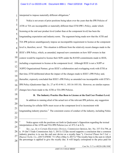1 || interpreted to impose materially different obligations.<sup>4</sup>

| $\overline{3}$<br>ATIS or TIA are incompatible or materially different than ETSI IPR's Policy, under which<br>$\overline{4}$<br>licensing at the end user product level (rather than at the component level) has been the<br>5<br>longstanding expectation and industry norm. The argument being made now that the ATIS and<br>6<br>TIA IPR policies unambiguously impose an incompatible requirement to license at the component<br>$\overline{7}$<br>level is, therefore, novel. This situation is different from the relatively recent changes made to the<br>8<br>9<br>IEEE's IPR Policy, which, as amended, imposed new constraints on how SEP owners in that<br>context would be required to license their SEPs under the RAND commitments made to IEEE,<br>including a requirement to license at the component level. Although IEEE is not a 3GPP or<br>3GPP2 Organizational Partner, given IEEE's collaboration and overlapping work with ETSI at<br>13<br>that time, ETSI deliberated about the impact of the changes made to IEEE's IPR Policy and,<br>14<br>thereafter, expressly concluded that IEEE's IPR Policy as amended was incompatible with ETSI's<br>15<br>IPR Policy (Qualcomm Opp. Ex. 27 at 93:4-94:11, 103:16-105:18). However, no similar express<br>16<br>17<br>changes have been made to the ATIS or TIA IPR Policies.<br>18<br>B. The Industry Practice Has Been to License at the End User Product Level.<br>19<br>In addition to running a foul of the actual text of the relevant IPR policies, any suggestion<br>20<br>that licensing for cellular SEPs must occur at the component level is inconsistent with<br>21<br>longstanding industry practice. <sup>5</sup> The consistent course of conduct of the industry, including Nokia<br>22<br>23<br>24<br>Nokia agrees with the positions set forth in Qualcomm's Opposition regarding the textual<br>interpretation of the ATIS and TIA IPR Policies (see id. 872-3 at 4-5).<br>25<br>See, e.g., In re Certain Electronics Devices, Commission Opinion, Inv. No. 337-TA-794, at<br>26<br>n. 19 (Int'l Trade Commission July 5, 2013) ("[T]he record supports a conclusion that a common<br>industry practice is to use the end user device as a royalty base."); Unwired Planet Int'l Ltd. v.<br>27<br>Huawei Techs. Co., [2017] EWHC 711 (Pat.) (May 4, 2017) ("The royalty base is the sum to which<br>the percentage is applied to give the royalty due. It will largely correspond to the price paid for<br>Case No. 5:17-cv-00220-LHK-NMC<br>$-5-$ | $\overline{2}$ | Nokia is not aware of prior positions being taken over the years that the IPR Policies of |
|--------------------------------------------------------------------------------------------------------------------------------------------------------------------------------------------------------------------------------------------------------------------------------------------------------------------------------------------------------------------------------------------------------------------------------------------------------------------------------------------------------------------------------------------------------------------------------------------------------------------------------------------------------------------------------------------------------------------------------------------------------------------------------------------------------------------------------------------------------------------------------------------------------------------------------------------------------------------------------------------------------------------------------------------------------------------------------------------------------------------------------------------------------------------------------------------------------------------------------------------------------------------------------------------------------------------------------------------------------------------------------------------------------------------------------------------------------------------------------------------------------------------------------------------------------------------------------------------------------------------------------------------------------------------------------------------------------------------------------------------------------------------------------------------------------------------------------------------------------------------------------------------------------------------------------------------------------------------------------------------------------------------------------------------------------------------------------------------------------------------------------------------------------------------------------------------------------------------------------------------------------------------------------------------------------------------------------------------------------------------------------------------------------------------------------------------------------------------------------------------------------------------------------------------|----------------|-------------------------------------------------------------------------------------------|
|                                                                                                                                                                                                                                                                                                                                                                                                                                                                                                                                                                                                                                                                                                                                                                                                                                                                                                                                                                                                                                                                                                                                                                                                                                                                                                                                                                                                                                                                                                                                                                                                                                                                                                                                                                                                                                                                                                                                                                                                                                                                                                                                                                                                                                                                                                                                                                                                                                                                                                                                            |                |                                                                                           |
|                                                                                                                                                                                                                                                                                                                                                                                                                                                                                                                                                                                                                                                                                                                                                                                                                                                                                                                                                                                                                                                                                                                                                                                                                                                                                                                                                                                                                                                                                                                                                                                                                                                                                                                                                                                                                                                                                                                                                                                                                                                                                                                                                                                                                                                                                                                                                                                                                                                                                                                                            |                |                                                                                           |
|                                                                                                                                                                                                                                                                                                                                                                                                                                                                                                                                                                                                                                                                                                                                                                                                                                                                                                                                                                                                                                                                                                                                                                                                                                                                                                                                                                                                                                                                                                                                                                                                                                                                                                                                                                                                                                                                                                                                                                                                                                                                                                                                                                                                                                                                                                                                                                                                                                                                                                                                            |                |                                                                                           |
|                                                                                                                                                                                                                                                                                                                                                                                                                                                                                                                                                                                                                                                                                                                                                                                                                                                                                                                                                                                                                                                                                                                                                                                                                                                                                                                                                                                                                                                                                                                                                                                                                                                                                                                                                                                                                                                                                                                                                                                                                                                                                                                                                                                                                                                                                                                                                                                                                                                                                                                                            |                |                                                                                           |
|                                                                                                                                                                                                                                                                                                                                                                                                                                                                                                                                                                                                                                                                                                                                                                                                                                                                                                                                                                                                                                                                                                                                                                                                                                                                                                                                                                                                                                                                                                                                                                                                                                                                                                                                                                                                                                                                                                                                                                                                                                                                                                                                                                                                                                                                                                                                                                                                                                                                                                                                            |                |                                                                                           |
|                                                                                                                                                                                                                                                                                                                                                                                                                                                                                                                                                                                                                                                                                                                                                                                                                                                                                                                                                                                                                                                                                                                                                                                                                                                                                                                                                                                                                                                                                                                                                                                                                                                                                                                                                                                                                                                                                                                                                                                                                                                                                                                                                                                                                                                                                                                                                                                                                                                                                                                                            |                |                                                                                           |
|                                                                                                                                                                                                                                                                                                                                                                                                                                                                                                                                                                                                                                                                                                                                                                                                                                                                                                                                                                                                                                                                                                                                                                                                                                                                                                                                                                                                                                                                                                                                                                                                                                                                                                                                                                                                                                                                                                                                                                                                                                                                                                                                                                                                                                                                                                                                                                                                                                                                                                                                            | 10             |                                                                                           |
|                                                                                                                                                                                                                                                                                                                                                                                                                                                                                                                                                                                                                                                                                                                                                                                                                                                                                                                                                                                                                                                                                                                                                                                                                                                                                                                                                                                                                                                                                                                                                                                                                                                                                                                                                                                                                                                                                                                                                                                                                                                                                                                                                                                                                                                                                                                                                                                                                                                                                                                                            | 11             |                                                                                           |
|                                                                                                                                                                                                                                                                                                                                                                                                                                                                                                                                                                                                                                                                                                                                                                                                                                                                                                                                                                                                                                                                                                                                                                                                                                                                                                                                                                                                                                                                                                                                                                                                                                                                                                                                                                                                                                                                                                                                                                                                                                                                                                                                                                                                                                                                                                                                                                                                                                                                                                                                            | 12             |                                                                                           |
|                                                                                                                                                                                                                                                                                                                                                                                                                                                                                                                                                                                                                                                                                                                                                                                                                                                                                                                                                                                                                                                                                                                                                                                                                                                                                                                                                                                                                                                                                                                                                                                                                                                                                                                                                                                                                                                                                                                                                                                                                                                                                                                                                                                                                                                                                                                                                                                                                                                                                                                                            |                |                                                                                           |
|                                                                                                                                                                                                                                                                                                                                                                                                                                                                                                                                                                                                                                                                                                                                                                                                                                                                                                                                                                                                                                                                                                                                                                                                                                                                                                                                                                                                                                                                                                                                                                                                                                                                                                                                                                                                                                                                                                                                                                                                                                                                                                                                                                                                                                                                                                                                                                                                                                                                                                                                            |                |                                                                                           |
|                                                                                                                                                                                                                                                                                                                                                                                                                                                                                                                                                                                                                                                                                                                                                                                                                                                                                                                                                                                                                                                                                                                                                                                                                                                                                                                                                                                                                                                                                                                                                                                                                                                                                                                                                                                                                                                                                                                                                                                                                                                                                                                                                                                                                                                                                                                                                                                                                                                                                                                                            |                |                                                                                           |
|                                                                                                                                                                                                                                                                                                                                                                                                                                                                                                                                                                                                                                                                                                                                                                                                                                                                                                                                                                                                                                                                                                                                                                                                                                                                                                                                                                                                                                                                                                                                                                                                                                                                                                                                                                                                                                                                                                                                                                                                                                                                                                                                                                                                                                                                                                                                                                                                                                                                                                                                            |                |                                                                                           |
|                                                                                                                                                                                                                                                                                                                                                                                                                                                                                                                                                                                                                                                                                                                                                                                                                                                                                                                                                                                                                                                                                                                                                                                                                                                                                                                                                                                                                                                                                                                                                                                                                                                                                                                                                                                                                                                                                                                                                                                                                                                                                                                                                                                                                                                                                                                                                                                                                                                                                                                                            |                |                                                                                           |
|                                                                                                                                                                                                                                                                                                                                                                                                                                                                                                                                                                                                                                                                                                                                                                                                                                                                                                                                                                                                                                                                                                                                                                                                                                                                                                                                                                                                                                                                                                                                                                                                                                                                                                                                                                                                                                                                                                                                                                                                                                                                                                                                                                                                                                                                                                                                                                                                                                                                                                                                            |                |                                                                                           |
|                                                                                                                                                                                                                                                                                                                                                                                                                                                                                                                                                                                                                                                                                                                                                                                                                                                                                                                                                                                                                                                                                                                                                                                                                                                                                                                                                                                                                                                                                                                                                                                                                                                                                                                                                                                                                                                                                                                                                                                                                                                                                                                                                                                                                                                                                                                                                                                                                                                                                                                                            |                |                                                                                           |
|                                                                                                                                                                                                                                                                                                                                                                                                                                                                                                                                                                                                                                                                                                                                                                                                                                                                                                                                                                                                                                                                                                                                                                                                                                                                                                                                                                                                                                                                                                                                                                                                                                                                                                                                                                                                                                                                                                                                                                                                                                                                                                                                                                                                                                                                                                                                                                                                                                                                                                                                            |                |                                                                                           |
|                                                                                                                                                                                                                                                                                                                                                                                                                                                                                                                                                                                                                                                                                                                                                                                                                                                                                                                                                                                                                                                                                                                                                                                                                                                                                                                                                                                                                                                                                                                                                                                                                                                                                                                                                                                                                                                                                                                                                                                                                                                                                                                                                                                                                                                                                                                                                                                                                                                                                                                                            |                |                                                                                           |
|                                                                                                                                                                                                                                                                                                                                                                                                                                                                                                                                                                                                                                                                                                                                                                                                                                                                                                                                                                                                                                                                                                                                                                                                                                                                                                                                                                                                                                                                                                                                                                                                                                                                                                                                                                                                                                                                                                                                                                                                                                                                                                                                                                                                                                                                                                                                                                                                                                                                                                                                            |                |                                                                                           |
|                                                                                                                                                                                                                                                                                                                                                                                                                                                                                                                                                                                                                                                                                                                                                                                                                                                                                                                                                                                                                                                                                                                                                                                                                                                                                                                                                                                                                                                                                                                                                                                                                                                                                                                                                                                                                                                                                                                                                                                                                                                                                                                                                                                                                                                                                                                                                                                                                                                                                                                                            |                |                                                                                           |
|                                                                                                                                                                                                                                                                                                                                                                                                                                                                                                                                                                                                                                                                                                                                                                                                                                                                                                                                                                                                                                                                                                                                                                                                                                                                                                                                                                                                                                                                                                                                                                                                                                                                                                                                                                                                                                                                                                                                                                                                                                                                                                                                                                                                                                                                                                                                                                                                                                                                                                                                            |                |                                                                                           |
|                                                                                                                                                                                                                                                                                                                                                                                                                                                                                                                                                                                                                                                                                                                                                                                                                                                                                                                                                                                                                                                                                                                                                                                                                                                                                                                                                                                                                                                                                                                                                                                                                                                                                                                                                                                                                                                                                                                                                                                                                                                                                                                                                                                                                                                                                                                                                                                                                                                                                                                                            |                |                                                                                           |
|                                                                                                                                                                                                                                                                                                                                                                                                                                                                                                                                                                                                                                                                                                                                                                                                                                                                                                                                                                                                                                                                                                                                                                                                                                                                                                                                                                                                                                                                                                                                                                                                                                                                                                                                                                                                                                                                                                                                                                                                                                                                                                                                                                                                                                                                                                                                                                                                                                                                                                                                            |                |                                                                                           |
|                                                                                                                                                                                                                                                                                                                                                                                                                                                                                                                                                                                                                                                                                                                                                                                                                                                                                                                                                                                                                                                                                                                                                                                                                                                                                                                                                                                                                                                                                                                                                                                                                                                                                                                                                                                                                                                                                                                                                                                                                                                                                                                                                                                                                                                                                                                                                                                                                                                                                                                                            |                |                                                                                           |
|                                                                                                                                                                                                                                                                                                                                                                                                                                                                                                                                                                                                                                                                                                                                                                                                                                                                                                                                                                                                                                                                                                                                                                                                                                                                                                                                                                                                                                                                                                                                                                                                                                                                                                                                                                                                                                                                                                                                                                                                                                                                                                                                                                                                                                                                                                                                                                                                                                                                                                                                            | 28             |                                                                                           |
|                                                                                                                                                                                                                                                                                                                                                                                                                                                                                                                                                                                                                                                                                                                                                                                                                                                                                                                                                                                                                                                                                                                                                                                                                                                                                                                                                                                                                                                                                                                                                                                                                                                                                                                                                                                                                                                                                                                                                                                                                                                                                                                                                                                                                                                                                                                                                                                                                                                                                                                                            |                |                                                                                           |
|                                                                                                                                                                                                                                                                                                                                                                                                                                                                                                                                                                                                                                                                                                                                                                                                                                                                                                                                                                                                                                                                                                                                                                                                                                                                                                                                                                                                                                                                                                                                                                                                                                                                                                                                                                                                                                                                                                                                                                                                                                                                                                                                                                                                                                                                                                                                                                                                                                                                                                                                            |                | <b>AMICUS CURIAE BRIEF</b>                                                                |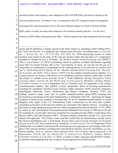1 2 3 4 5 6 7 8 (as both licensor and licensee), since adoption of the ETSI IPR Policy has been to license at the end user product level. In Nokia's view, as expressed to the FTC during its initial investigation, licensing at the end user product level is the most efficient manner in which to license cellular SEPs, and as a result, has been and continues to be common industry practice. It is the level chosen by SEP holders and patent pools alike. And the industry has long recognized that licensing goods and the definition is largely agreed in the draft contract as something called 'Selling Price'

 $\overline{Q}$ 10 11 12 13 14 15 16 17 18 19 20 21 22 23 24 25 26 27 28 Case No. 5:17-cv-00220-LHK-NMC for 'End User Devices' (i.e. handsets) and 'Infrastructure Revenue' for infrastructure."); *Ericsson, Inc. v. D-Link, Sys., Inc.*, 773 F.3d 1201, 1227 (Fed. Cir. 2014) (discussing licenses in which royalties were based on the price of the end user product rather than the price of a component); Jonathan D. Putnam & Tim A. Williams, *The Smallest Salable Patent-Practicing Unit (SSPPU): Theory and Evidence* 35 (2016) (concluding, based on publicly available information regarding more than two dozen licenses, that in the "vast majority of cases, we can rule out the use of a component or combination of components as the metering device; in no case can we confirm such use."); David Teece & E.F. Sherry, *On the "Smallest Saleable Patent Practicing Unit" Doctrine: An Economic and Public Policy Analysis* (2016) ("In the cellular communications industry, it is common practice to license at the device level (cellphones and base stations), rather than at either the chipset or cellular service provider levels."); Keith Mallinson, *Busting Smartphone Patent Licensing Myths*, CENTER FOR THE PROTECTION OF INTELLECTUAL PROPERTY, GEORGE MASON UNIVERSITY SCHOOL OF LAW 4 (September 2015) ("Virtually every IP rightholder in the cellular communications industry that publicly reveals information about its licensing requirements, including EU companies (Alcatel-Lucent, Ericsson, Nokia, Siemens), North American companies (InterDigital, Motorola, Nortel, Qualcomm), and Chinese companies (Huawei, ZTE), has publicly stated in recent years that its mobile standard-essential patent (SEP) licensing rates are based on a percentage of the entire handset price, as illustrated with LTE. Samsung, the largest company in South Korea, justified a licensing offer for its 3G standard-essential patents in recent litigation with Apple in the U.S. International Trade Commission on the basis that royalties calculated on the price of the end user product are consistent with industry practice. Licensing on this basis is a long-standing practice and was widely recognized since the introduction of 2G GSM, as noted by the International Telecommunications Standards User Group in 1998 and in 2G and 3G standards by several other observers including PA Consulting Group (2005), Credit Suisse First Boston (2005), and ABI Research (2007). European antitrust authorities and the U.S. courts also endorse this approach. The Chinese courts used this royalty base for determining a royalty rate in the Huawei-InterDigital case."); Erik Stasik, *Royalty Rates and Licensing Strategies for Essential Patents on LTE (4G) Telecommunications Standards,* LES NOUVELLES 114-119 (September 2010) (finding that every publicly announced 4G licensing rate was expressed as a percentage of the sales price of the end user product, including rates announced by Huawei, Ericsson, and Nokia); *see also* Devlin Hartline, *Letter to Antitrust Chief Applauds DOJ's New Evidence-Based Approach to IP Enforcement*, CENTER FOR THE PROTECTION OF INTELLECTUAL PROPERTY, GEORGE MASON UNIVERSITY SCHOOL OF LAW (Feb. 13, 2018), *available at* https://cpip.gmu.edu/2018/02/13/letterto-antitrust-chief-applauds-dojs-new-evidence-based-approach-to-ip-enforcement/.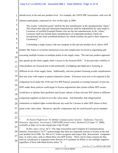|                | should occur at the end user product level. For example, the UMTS IPR Association, with over 40                                                                                                  |  |
|----------------|--------------------------------------------------------------------------------------------------------------------------------------------------------------------------------------------------|--|
| $\overline{2}$ | industry participants, expressed its view on the topic in 2000:                                                                                                                                  |  |
| 3              | The royalty "collection point" shall be the last manufacturer in the manufacturing "chain."                                                                                                      |  |
| 4              | This means that chip and subsystem manufacturers shall be indemnified for sales made to<br>Licensees of certified Essential Patents who are the last manufacturers in the "chain."               |  |
| 5              | Licensees shall not include those manufacturers of component products which are<br>incorporated into final assembled products for which royalties are paid to their respective                   |  |
| 6              | Licensor(s). $6$                                                                                                                                                                                 |  |
| 7              | Concluding a single license with one company at the end user product level, allows SEP                                                                                                           |  |
| 8              | holders like Nokia to avoid the transaction costs and complexities involved in negotiating and                                                                                                   |  |
| 9              | executing multiple licenses at multiple points in the supply chain. The end user product approach                                                                                                |  |
| 10<br>11       | also speeds up the entire supply chain's access to the licensed SEPs. <sup>7</sup> It also provides visibility to                                                                                |  |
| 12             | what products are licensed and avoids potentially overlapping and duplicative licensing at                                                                                                       |  |
| 13             | different levels of the supply chain. Additionally, end user product licensing avoids complications                                                                                              |  |
| 14             | that may arise with respect to patent exhaustion claims. If licenses were now to be required at the                                                                                              |  |
| 15             | component level under the ATIS and TIA IPR Policies, potential or existing licensees of relevant                                                                                                 |  |
| 16<br>17       | SEPs under those policies could argue in license negotiations that certain cellular SEP owners                                                                                                   |  |
| 18             | would have to splinter their portfolios and license subsets of their relevant SEP claims to different                                                                                            |  |
| 19             | component suppliers at each level in the value chain. And thereafter, that alleged patent                                                                                                        |  |
| 20             | exhaustion or implied rights would alleviate any need for a license to other SEP claims at their                                                                                                 |  |
| 21             | point in the value chain. Moreover, specific components may be used beyond a given standard                                                                                                      |  |
| 22             |                                                                                                                                                                                                  |  |
| 23             | 3G Patent Platform for 3G Mobile Communication Systems - Definition, Function,                                                                                                                   |  |
| 24             | Structure, Operation, Governance, UMTS IPR ASSOCIATION, Section 8.2.6 (June 15, 2000),                                                                                                           |  |
| 25             | <i>available at http://www.atis.org/gsc/gsc-5/ipr-03.pdf.</i><br>In fact, <i>amici curiae</i> $ACT$   The App Association and Computer & Communications                                          |  |
| 26             | Industry Association ("ACT") acknowledge that there are important reasons to license at the end                                                                                                  |  |
| 27             | user product level (Dkt. No. 864 at 4 ("Amici recognize and respect that 'downstream' companies<br>may, in some cases, seek to obtain their own SEP license. There can be many reasons for this, |  |
| 28             | such as a preference to negotiate terms directly or to maintain an ability to use multiple suppliers<br>regardless of their individual license status.")).                                       |  |
|                | Case No. 5:17-cv-00220-LHK-NMC<br>$-7-$                                                                                                                                                          |  |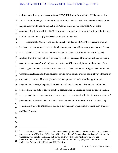1 2 3 4 5 6 and standards development organization ("SDO") IPR Policy for which the SEP holder made a FRAND commitment (and would normally limit its license to). Under such circumstances, if the requirement were to license applicable SEP claims under a given SDO IPR Policy at the component level, then additional SEP claims may be argued to be exhausted or impliedly licensed at other points in the supply chain such as the end product level.

7 8 9 10 11 12 13 14 15 16 17 18 19 20 21 22 Accordingly, Nokia's long-standing practice in its own FRAND SEP licensing program has been and continues to be to enter into license agreements with the companies that sell the end user products, and not with the component vendors. Under this program, the entire product resulting from the supply chain is covered by the SEP license, and the component manufacturers (and other members of the chain) have access to any SEPs they might require through the "have made" rights granted to the sellers of the end user products without requiring the negotiation and transaction costs associated with separate, as well as the complexities of potentially overlapping or duplicative, licenses. This also gives the end user product manufacturer the opportunity to negotiate the licenses, along with the freedom to choose its component suppliers—rather than perhaps being tied only to certain suppliers because of an interpretation requiring certain licenses to be granted at the component level. Nokia's approach is aligned with other industry participants' practices, and in Nokia's view, is the most efficient manner of properly fulfilling the licensing commitments made to international standards development organizations to make SEPs available on FRAND terms.<sup>8</sup>

26 27 28 Amici ACT conceded that companies licensing SEP's have "chosen to focus their licensing programs at the OEM level" (Dkt. No. 864 at 9, n. 15). ACT contends that this parol evidence is unnecessary or should be ignored but, to the contrary, this consistent industry practice demonstrated a course of conduct and is evidence of how industry players have interpreted the underlying Organizational Partners' IPR Policies.

23

24

25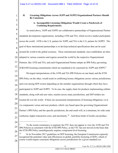### **II. Licensing Obligations Across 3GPP and 3GPP2 Organizational Partners Should Be Consistent.**

## 2 3

1

#### **A. Incompatible Licensing Obligations Would Create a Patchwork of Confusing Requirements.**

4 5 6 7 8  $\overline{Q}$ 10 11 12 13 14 15 16 17 18 19 20 21 22 23 24 As noted above, 3GPP and 3GPP2 are collaborative partnerships of Organizational Partner standards development organizations, including ATIS and TIA, which involve market participants across the world. ATIS is the U.S. partner for 3GPP, and TIA is the U.S. partner for 3GPP2. The goal of these international partnerships is to develop technical specifications that can be used around the world in the global economy. These international standards, once established, are then adopted in various countries and regions around the world by the respective Organizational Partners, like ATIS and TIA, and each Organizational Partner adopts an IPR Policy governing (F)RAND licensing commitments which are mandated to be consistent by 3GPP and 3GPP2.<sup>9</sup> Divergent interpretations of the ATIS and TIA IPR Policies on one hand, and the ETSI IPR Policy on the other, would result in conflicting license obligations across various jurisdictions, and even among SEP owners depending on the member organizations through which they have participated in 3GPP and 3GPP2. To be sure, the supply chain for products implementing cellular standards, along with end user sales, reaches across many jurisdictions, and SEP holders are located all over the world. If there are inconsistent interpretations of licensing obligations vis-àvis components versus end user products, which vary based upon the governing Organizational Partner's IPR Policy and the specific jurisdiction, the end result will, at a minimum, be wide scale confusion, higher transaction costs, and uncertainty.<sup>10</sup> And these kinds of results can produce

- 25 26 <sup>9</sup> To the extent consistency is required, the FTC does not appear to view the ATIS and TIA IPR Policies as consistent with the ETSI IPR Policy, as the FTC has not moved on the basis that the ETSI IPR Policy unambiguously requires component-level licensing.
- 27 28 <sup>10</sup> In its November 2017 guidelines on SEP licensing, the European Commission expressly recognized the potential value and efficiencies in global, portfolio licensing of SEPs, which of course would require consistent obligations across jurisdictions for a given standard (*see*

| -9-                        |
|----------------------------|
| <i>AMICUS CURIAE</i> BRIEF |

Case No. 5:17-cv-00220-LHK-NMC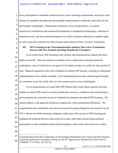1 2 3 4 5 6 7 8 9 10 11 12 13 14 15 16 17 18 19 20 21 22 23 24 25 26 27 28 -10- Case No. 5:17-cv-00220-LHK-NMC lower participation in standards-related activities, fewer licensing commitments, and slower work streams for standards development and standards implementation worldwide, especially for new and complex technologies. Maintaining consistency across interpretations, in contrast, incentivizes contributions and continued development of standardized technologies, reduction in transaction costs, and fewer potential disputes over claims of patent exhaustion or implied rights, as well as prevents confusion for both licensors and licensees (Nokia, of course, being both). **III. SEP Licensing in the Telecommunications Industry Has Led to Tremendous Success with New Entrants and Huge Benefits for Consumers.** In its current form, SEP licensing in the wireless telecommunications industry has been highly successful. There are numerous examples of new implementers having entered the marketplace, some of which have even grown to be industry leaders in a relatively short period of time. Bilateral negotiations have led to hundreds of cellular SEP licenses, resulting in widespread implementation of the cellular standards. Such implementation has also conferred great benefits on consumers across the world, who now have greater access to new technologies. Novel interpretations of certain SDO IPR Policies that would impose specific licensing models on certain SEP owners in certain jurisdictions, however, would have the real potential to put in jeopardy the continued success of standards development and related SEP licensing. The current industry-wide approach minimizes complexities, while maintaining efficiencies. The complications that would likely arise from inconsistent licensing obligations advocated for in the FTC's Motion for Partial Summary Judgment could unravel the success of SEP licensing and standards development that have been achieved to date, rather than incentivizing continued participation in open standards-setting and development, which make innovation more widely Communication from the Commission to the European Parliament, the Council and the European Economic and Social Committee, *Setting out the EU Approach to Standard Essential Patents*, COM(2017) 712 (Nov. 29, 2017)).